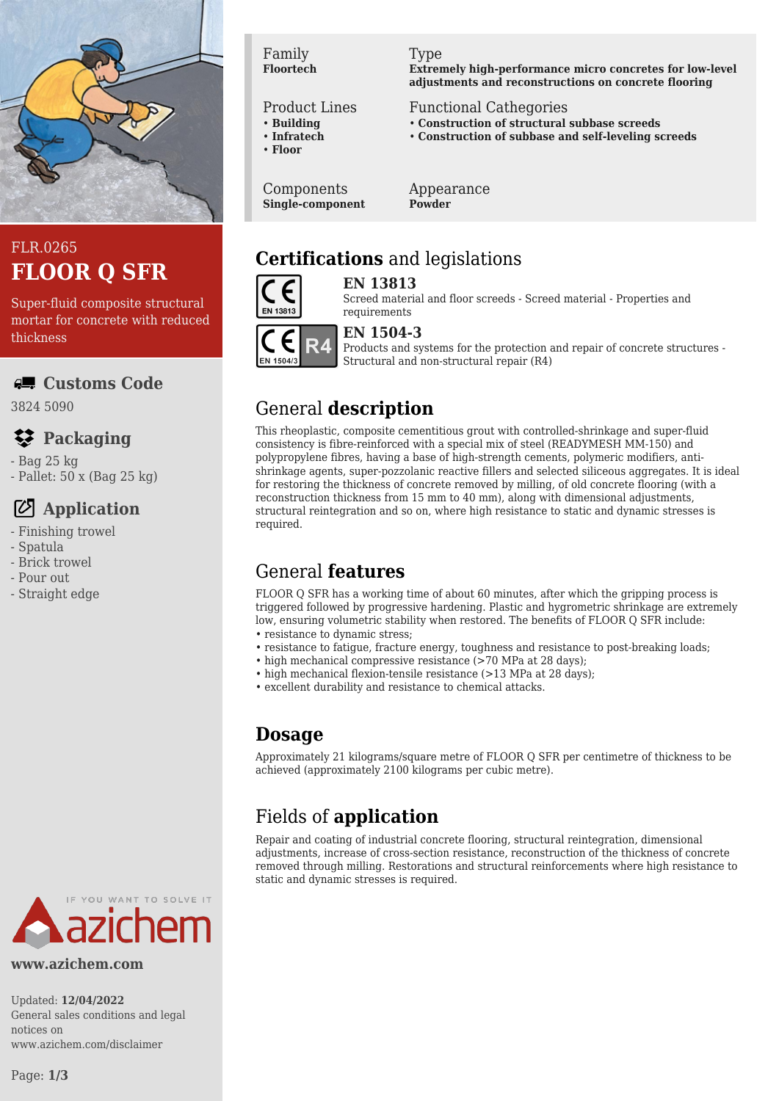

# FLR.0265 **FLOOR Q SFR**

Super-fluid composite structural mortar for concrete with reduced thickness

#### **Customs Code**

3824 5090

# **Packaging**

- Bag 25 kg

- Pallet: 50 x (Bag 25 kg)

#### **Application**

- Finishing trowel
- Spatula
- Brick trowel
- Pour out
- Straight edge

#### Family **Floortech**

#### Product Lines

- **Building**
- **Infratech**
- **Floor**

Components **Single-component**

#### Type

**Extremely high-performance micro concretes for low-level adjustments and reconstructions on concrete flooring**

#### Functional Cathegories

- **Construction of structural subbase screeds**
- **Construction of subbase and self-leveling screeds**

Appearance **Powder**

# **Certifications** and legislations



**EN 13813** Screed material and floor screeds - Screed material - Properties and requirements

# EN 1504/3

#### **EN 1504-3**

Products and systems for the protection and repair of concrete structures - Structural and non-structural repair (R4)

# General **description**

This rheoplastic, composite cementitious grout with controlled-shrinkage and super-fluid consistency is fibre-reinforced with a special mix of steel (READYMESH MM-150) and polypropylene fibres, having a base of high-strength cements, polymeric modifiers, antishrinkage agents, super-pozzolanic reactive fillers and selected siliceous aggregates. It is ideal for restoring the thickness of concrete removed by milling, of old concrete flooring (with a reconstruction thickness from 15 mm to 40 mm), along with dimensional adjustments, structural reintegration and so on, where high resistance to static and dynamic stresses is required.

# General **features**

FLOOR Q SFR has a working time of about 60 minutes, after which the gripping process is triggered followed by progressive hardening. Plastic and hygrometric shrinkage are extremely low, ensuring volumetric stability when restored. The benefits of FLOOR Q SFR include: • resistance to dynamic stress;

- resistance to fatigue, fracture energy, toughness and resistance to post-breaking loads;
- high mechanical compressive resistance (>70 MPa at 28 days);
- high mechanical flexion-tensile resistance (>13 MPa at 28 days);
- excellent durability and resistance to chemical attacks.

# **Dosage**

Approximately 21 kilograms/square metre of FLOOR Q SFR per centimetre of thickness to be achieved (approximately 2100 kilograms per cubic metre).

# Fields of **application**

Repair and coating of industrial concrete flooring, structural reintegration, dimensional adjustments, increase of cross-section resistance, reconstruction of the thickness of concrete removed through milling. Restorations and structural reinforcements where high resistance to static and dynamic stresses is required.



**www.azichem.com**

Updated: **12/04/2022** General sales conditions and legal notices on www.azichem.com/disclaimer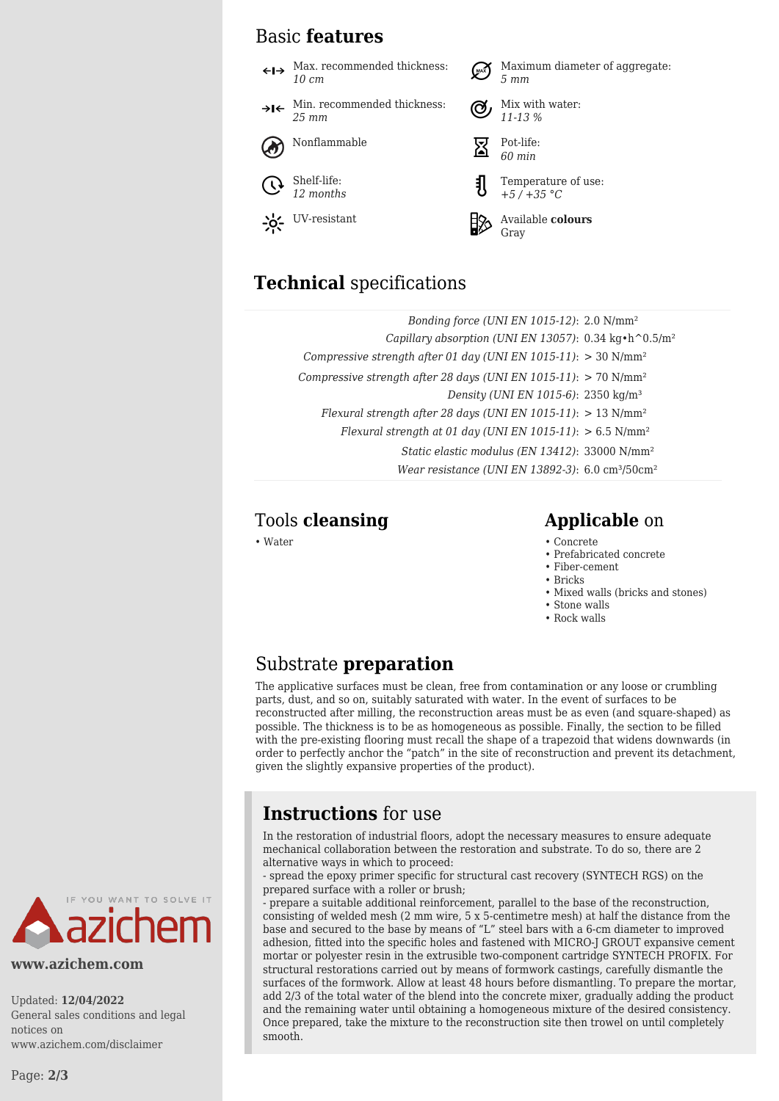#### Basic **features**

 $\leftarrow \rightarrow$  Max. recommended thickness: Maximum diameter of aggregate: *5 mm 10 cm* Min. recommended thickness: Mix with water:  $\rightarrow$ I $\leftarrow$ *25 mm 11-13 %* Nonflammable  $\overline{\nabla}$  Pot-life: *60 min* Shelf-life: Temperature of use: *12 months +5 / +35 °C* UV-resistant **Available colours** Gray

#### **Technical** specifications

| Bonding force (UNI EN 1015-12): $2.0 \text{ N/mm}^2$                                   |  |
|----------------------------------------------------------------------------------------|--|
| Capillary absorption (UNI EN 13057): $0.34 \text{ kg} \cdot \text{h}^0 0.5/\text{m}^2$ |  |
| Compressive strength after 01 day (UNI EN 1015-11): $>$ 30 N/mm <sup>2</sup>           |  |
| Compressive strength after 28 days (UNI EN 1015-11): $> 70$ N/mm <sup>2</sup>          |  |
| Density (UNI EN 1015-6): 2350 kg/m <sup>3</sup>                                        |  |
| Flexural strength after 28 days (UNI EN 1015-11): $> 13$ N/mm <sup>2</sup>             |  |
| Flexural strength at 01 day (UNI EN 1015-11): $> 6.5$ N/mm <sup>2</sup>                |  |
| Static elastic modulus (EN 13412): 33000 N/mm <sup>2</sup>                             |  |
| Wear resistance (UNI EN 13892-3): $6.0 \text{ cm}^3$ / $50 \text{ cm}^2$               |  |
|                                                                                        |  |

#### Tools **cleansing Applicable** on

- Water Concrete Concrete Concrete Concrete Concrete Concrete Concrete Concrete Concrete Concrete Concrete Concrete Concrete Concrete Concrete Concrete Concrete Concrete Concrete Con
	- Prefabricated concrete
	- Fiber-cement
	- Bricks
	- Mixed walls (bricks and stones)
	- Stone walls
	- Rock walls

#### Substrate **preparation**

The applicative surfaces must be clean, free from contamination or any loose or crumbling parts, dust, and so on, suitably saturated with water. In the event of surfaces to be reconstructed after milling, the reconstruction areas must be as even (and square-shaped) as possible. The thickness is to be as homogeneous as possible. Finally, the section to be filled with the pre-existing flooring must recall the shape of a trapezoid that widens downwards (in order to perfectly anchor the "patch" in the site of reconstruction and prevent its detachment, given the slightly expansive properties of the product).

# **Instructions** for use

In the restoration of industrial floors, adopt the necessary measures to ensure adequate mechanical collaboration between the restoration and substrate. To do so, there are 2 alternative ways in which to proceed:

- spread the epoxy primer specific for structural cast recovery (SYNTECH RGS) on the prepared surface with a roller or brush;

- prepare a suitable additional reinforcement, parallel to the base of the reconstruction, consisting of welded mesh (2 mm wire, 5 x 5-centimetre mesh) at half the distance from the base and secured to the base by means of "L" steel bars with a 6-cm diameter to improved adhesion, fitted into the specific holes and fastened with MICRO-J GROUT expansive cement mortar or polyester resin in the extrusible two-component cartridge SYNTECH PROFIX. For structural restorations carried out by means of formwork castings, carefully dismantle the surfaces of the formwork. Allow at least 48 hours before dismantling. To prepare the mortar, add 2/3 of the total water of the blend into the concrete mixer, gradually adding the product and the remaining water until obtaining a homogeneous mixture of the desired consistency. Once prepared, take the mixture to the reconstruction site then trowel on until completely smooth.



**www.azichem.com**

Updated: **12/04/2022** General sales conditions and legal notices on www.azichem.com/disclaimer